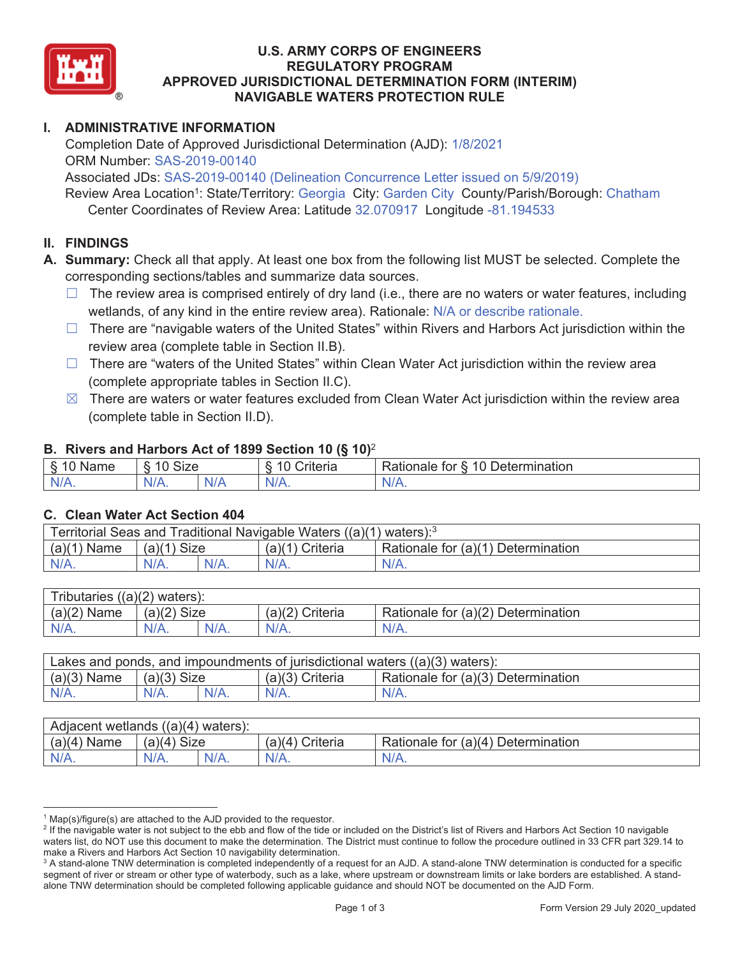

### **U.S. ARMY CORPS OF ENGINEERS REGULATORY PROGRAM APPROVED JURISDICTIONAL DETERMINATION FORM (INTERIM) NAVIGABLE WATERS PROTECTION RULE**

# **I. ADMINISTRATIVE INFORMATION**

Completion Date of Approved Jurisdictional Determination (AJD): 1/8/2021 ORM Number: SAS-2019-00140

Associated JDs: SAS-2019-00140 (Delineation Concurrence Letter issued on 5/9/2019) Review Area Location<sup>1</sup>: State/Territory: Georgia City: Garden City County/Parish/Borough: Chatham Center Coordinates of Review Area: Latitude 32.070917 Longitude -81.194533

### **II. FINDINGS**

**A. Summary:** Check all that apply. At least one box from the following list MUST be selected. Complete the corresponding sections/tables and summarize data sources.

- $\Box$  The review area is comprised entirely of dry land (i.e., there are no waters or water features, including wetlands, of any kind in the entire review area). Rationale: N/A or describe rationale.
- $\Box$  There are "navigable waters of the United States" within Rivers and Harbors Act jurisdiction within the review area (complete table in Section II.B).
- $\Box$  There are "waters of the United States" within Clean Water Act jurisdiction within the review area (complete appropriate tables in Section II.C).
- $\boxtimes$  There are waters or water features excluded from Clean Water Act jurisdiction within the review area (complete table in Section II.D).

### **B. Rivers and Harbors Act of 1899 Section 10 (§ 10)**<sup>2</sup>

| . .                                     |                                   |          |                                 |                                                             |  |
|-----------------------------------------|-----------------------------------|----------|---------------------------------|-------------------------------------------------------------|--|
| δ.<br>$\sim$<br>`me<br>'Nar.<br>u<br>٠J | $\sim$<br>$\sqrt{2}$<br>Size<br>∼ |          | $\overline{A}$<br>`riteria<br>∼ | 10<br>∽<br>ermination?<br><b>Rationale</b><br>tor<br>Jeter' |  |
| N/A.                                    | $N/A$ .                           | ı<br>NIA | $N/A$ .                         | INI.<br>VLO.                                                |  |

#### **C. Clean Water Act Section 404**

| Territorial Seas and Traditional Navigable Waters $((a)(1)$ waters): <sup>3</sup> |               |  |                 |                                    |  |
|-----------------------------------------------------------------------------------|---------------|--|-----------------|------------------------------------|--|
| $(a)(1)$ Name                                                                     | $(a)(1)$ Size |  | (a)(1) Criteria | Rationale for (a)(1) Determination |  |
| N/A.                                                                              | N/A.          |  | $N/A$ .         | $N/A$ .                            |  |

| Tributaries $((a)(2)$ waters): |             |         |                 |                                    |  |  |
|--------------------------------|-------------|---------|-----------------|------------------------------------|--|--|
| (a)(2)<br>Name                 | (a)(2) Size |         | (a)(2) Criteria | Rationale for (a)(2) Determination |  |  |
| $N/A$ .                        | $N/A$ .     | $N/A$ . | $N/A$ .         | $N/A$ .                            |  |  |

| Lakes and ponds, and impoundments of jurisdictional waters $((a)(3)$ waters): |               |         |                   |                                    |  |
|-------------------------------------------------------------------------------|---------------|---------|-------------------|------------------------------------|--|
| $(a)(3)$ Name                                                                 | $(a)(3)$ Size |         | $(a)(3)$ Criteria | Rationale for (a)(3) Determination |  |
| $N/A$ .                                                                       | $N/A$ .       | $N/A$ . | $N/A$ .           | $N/A$ .                            |  |

| Adjacent wetlands $((a)(4)$ waters): |                       |         |                    |                                    |  |  |
|--------------------------------------|-----------------------|---------|--------------------|------------------------------------|--|--|
| $(a)(4)$ Name                        | (a)(4)<br><b>Size</b> |         | Criteria<br>(a)(4) | Rationale for (a)(4) Determination |  |  |
| $N/A$ .                              | $N/A$ .               | $N/A$ . | $N/A$ .            | $N/A$ .                            |  |  |

 $1$  Map(s)/figure(s) are attached to the AJD provided to the requestor.

<sup>&</sup>lt;sup>2</sup> If the navigable water is not subject to the ebb and flow of the tide or included on the District's list of Rivers and Harbors Act Section 10 navigable waters list, do NOT use this document to make the determination. The District must continue to follow the procedure outlined in 33 CFR part 329.14 to make a Rivers and Harbors Act Section 10 navigability determination. 3

<sup>&</sup>lt;sup>3</sup> A stand-alone TNW determination is completed independently of a request for an AJD. A stand-alone TNW determination is conducted for a specific segment of river or stream or other type of waterbody, such as a lake, where upstream or downstream limits or lake borders are established. A standalone TNW determination should be completed following applicable guidance and should NOT be documented on the AJD Form.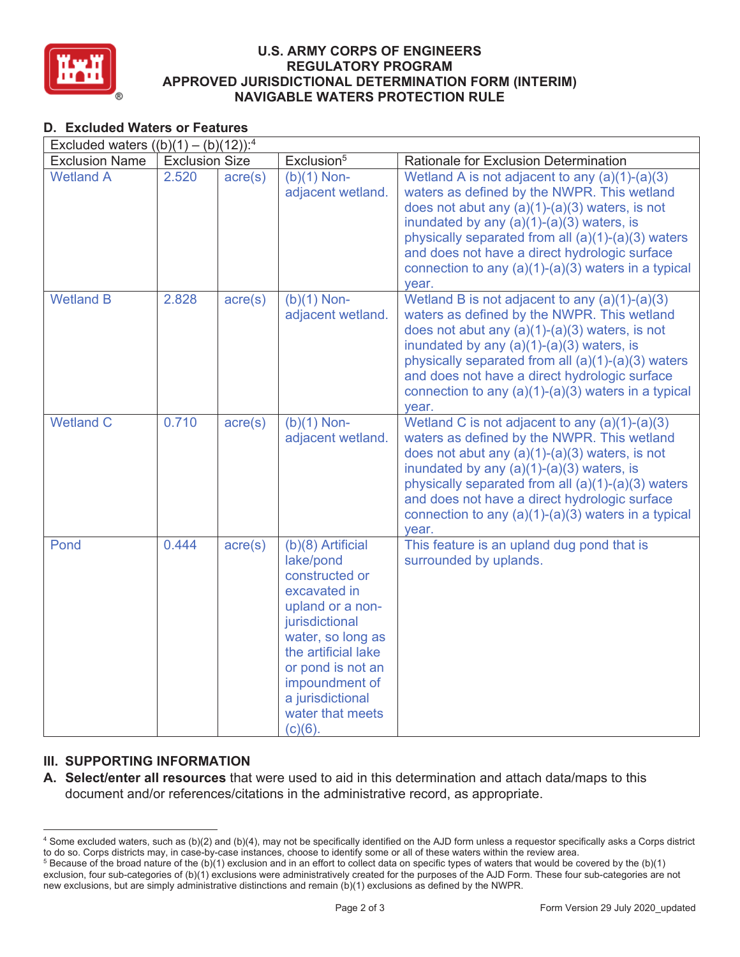

### **U.S. ARMY CORPS OF ENGINEERS REGULATORY PROGRAM APPROVED JURISDICTIONAL DETERMINATION FORM (INTERIM) NAVIGABLE WATERS PROTECTION RULE**

# **D. Excluded Waters or Features**

| Excluded waters $((b)(1) - (b)(12))$ : <sup>4</sup> |                       |                  |                                                                                                                                                                                                                                                 |                                                                                                                                                                                                                                                                                                                                                                             |  |  |
|-----------------------------------------------------|-----------------------|------------------|-------------------------------------------------------------------------------------------------------------------------------------------------------------------------------------------------------------------------------------------------|-----------------------------------------------------------------------------------------------------------------------------------------------------------------------------------------------------------------------------------------------------------------------------------------------------------------------------------------------------------------------------|--|--|
| <b>Exclusion Name</b>                               | <b>Exclusion Size</b> |                  | Exclusion <sup>5</sup>                                                                                                                                                                                                                          | Rationale for Exclusion Determination                                                                                                                                                                                                                                                                                                                                       |  |  |
| <b>Wetland A</b>                                    | 2.520                 | $\text{acre}(s)$ | $(b)(1)$ Non-<br>adjacent wetland.                                                                                                                                                                                                              | Wetland A is not adjacent to any $(a)(1)-(a)(3)$<br>waters as defined by the NWPR. This wetland<br>does not abut any $(a)(1)-(a)(3)$ waters, is not<br>inundated by any $(a)(1)-(a)(3)$ waters, is<br>physically separated from all (a)(1)-(a)(3) waters<br>and does not have a direct hydrologic surface<br>connection to any $(a)(1)-(a)(3)$ waters in a typical<br>year. |  |  |
| <b>Wetland B</b>                                    | 2.828                 | $\text{acre}(s)$ | $(b)(1)$ Non-<br>adjacent wetland.                                                                                                                                                                                                              | Wetland B is not adjacent to any $(a)(1)-(a)(3)$<br>waters as defined by the NWPR. This wetland<br>does not abut any $(a)(1)-(a)(3)$ waters, is not<br>inundated by any $(a)(1)-(a)(3)$ waters, is<br>physically separated from all (a)(1)-(a)(3) waters<br>and does not have a direct hydrologic surface<br>connection to any $(a)(1)-(a)(3)$ waters in a typical<br>year. |  |  |
| <b>Wetland C</b>                                    | 0.710                 | $\text{acre}(s)$ | $\overline{(b)}(1)$ Non-<br>adjacent wetland.                                                                                                                                                                                                   | Wetland C is not adjacent to any $(a)(1)-(a)(3)$<br>waters as defined by the NWPR. This wetland<br>does not abut any $(a)(1)-(a)(3)$ waters, is not<br>inundated by any (a)(1)-(a)(3) waters, is<br>physically separated from all $(a)(1)-(a)(3)$ waters<br>and does not have a direct hydrologic surface<br>connection to any $(a)(1)-(a)(3)$ waters in a typical<br>year. |  |  |
| Pond                                                | 0.444                 | $\text{acre}(s)$ | (b)(8) Artificial<br>lake/pond<br>constructed or<br>excavated in<br>upland or a non-<br>jurisdictional<br>water, so long as<br>the artificial lake<br>or pond is not an<br>impoundment of<br>a jurisdictional<br>water that meets<br>$(c)(6)$ . | This feature is an upland dug pond that is<br>surrounded by uplands.                                                                                                                                                                                                                                                                                                        |  |  |

## **III. SUPPORTING INFORMATION**

**A. Select/enter all resources** that were used to aid in this determination and attach data/maps to this document and/or references/citations in the administrative record, as appropriate.

<sup>4</sup> Some excluded waters, such as (b)(2) and (b)(4), may not be specifically identified on the AJD form unless a requestor specifically asks a Corps district to do so. Corps districts may, in case-by-case instances, choose to identify some or all of these waters within the review area. 5

 $5$  Because of the broad nature of the (b)(1) exclusion and in an effort to collect data on specific types of waters that would be covered by the (b)(1) exclusion, four sub-categories of (b)(1) exclusions were administratively created for the purposes of the AJD Form. These four sub-categories are not new exclusions, but are simply administrative distinctions and remain (b)(1) exclusions as defined by the NWPR.